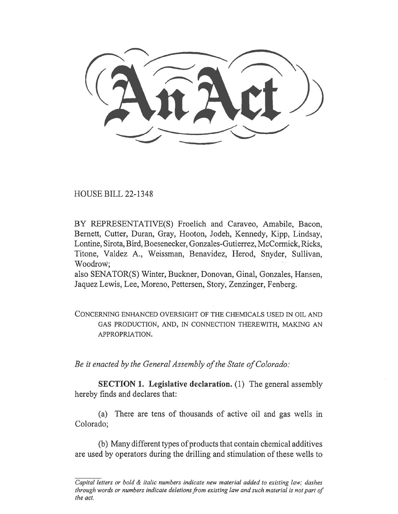HOUSE BILL 22-1348

BY REPRESENTATIVE(S) Froelich and Caraveo, Amabile, Bacon, Bernett, Cutter, Duran, Gray, Hooton, Jodeh, Kennedy, Kipp, Lindsay, Lontine, Sirota, Bird, Boesenecker, Gonzales-Gutierrez, McCormick, Ricks, Titone, Valdez A., Weissman, Benavidez, Herod, Snyder, Sullivan, Woodrow;

also SENATOR(S) Winter, Buckner, Donovan, Ginal, Gonzales, Hansen, Jaquez Lewis, Lee, Moreno, Pettersen, Story, Zenzinger, Fenberg.

CONCERNING ENHANCED OVERSIGHT OF THE CHEMICALS USED IN OIL AND GAS PRODUCTION, AND, IN CONNECTION THEREWITH, MAKING AN APPROPRIATION.

Be it enacted by the General Assembly of the State of Colorado:

SECTION 1. Legislative declaration. (1) The general assembly hereby finds and declares that:

(a) There are tens of thousands of active oil and gas wells in Colorado;

(b) Many different types of products that contain chemical additives are used by operators during the drilling and stimulation of these wells to

Capital letters or bold & italic numbers indicate new material added to existing law; dashes through words or numbers indicate deletions from existing law and such material is not part of the act.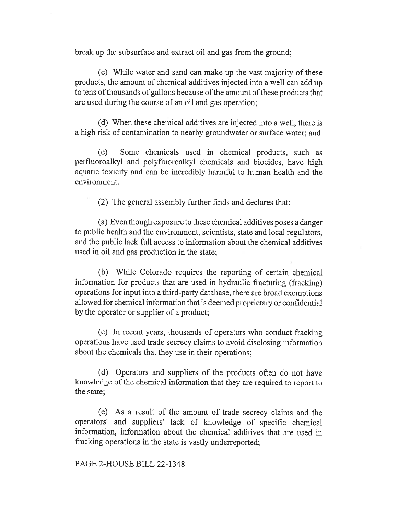break up the subsurface and extract oil and gas from the ground;

(c) While water and sand can make up the vast majority of these products, the amount of chemical additives injected into a well can add up to tens of thousands of gallons because of the amount of these products that are used during the course of an oil and gas operation;

(d) When these chemical additives are injected into a well, there is a high risk of contamination to nearby groundwater or surface water; and

(e) Some chemicals used in chemical products, such as perfluoroalkyl and polyfluoroalkyl chemicals and biocides, have high aquatic toxicity and can be incredibly harmful to human health and the environment.

(2) The general assembly further finds and declares that:

(a) Even though exposure to these chemical additives poses a danger to public health and the environment, scientists, state and local regulators, and the public lack full access to information about the chemical additives used in oil and gas production in the state;

(b) While Colorado requires the reporting of certain chemical information for products that are used in hydraulic fracturing (fracking) operations for input into a third-party database, there are broad exemptions allowed for chemical information that is deemed proprietary or confidential by the operator or supplier of a product;

(c) In recent years, thousands of operators who conduct fracking operations have used trade secrecy claims to avoid disclosing information about the chemicals that they use in their operations;

(d) Operators and suppliers of the products often do not have knowledge of the chemical information that they are required to report to the state;

(e) As a result of the amount of trade secrecy claims and the operators' and suppliers' lack of knowledge of specific chemical information, information about the chemical additives that are used in fracking operations in the state is vastly underreported;

# PAGE 2-HOUSE BILL 22-1348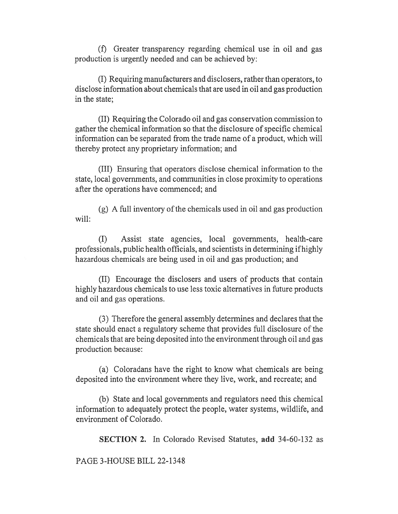(f) Greater transparency regarding chemical use in oil and gas production is urgently needed and can be achieved by:

(I) Requiring manufacturers and disclosers, rather than operators, to disclose information about chemicals that are used in oil and gas production in the state;

(II) Requiring the Colorado oil and gas conservation commission to gather the chemical information so that the disclosure of specific chemical information can be separated from the trade name of a product, which will thereby protect any proprietary information; and

(III) Ensuring that operators disclose chemical information to the state, local governments, and communities in close proximity to operations after the operations have commenced; and

(g) A full inventory of the chemicals used in oil and gas production will:

(I) Assist state agencies, local governments, health-care professionals, public health officials, and scientists in determining if highly hazardous chemicals are being used in oil and gas production; and

(II) Encourage the disclosers and users of products that contain highly hazardous chemicals to use less toxic alternatives in future products and oil and gas operations.

(3) Therefore the general assembly determines and declares that the state should enact a regulatory scheme that provides full disclosure of the chemicals that are being deposited into the environment through oil and gas production because:

(a) Coloradans have the right to know what chemicals are being deposited into the environment where they live, work, and recreate; and

(b) State and local governments and regulators need this chemical information to adequately protect the people, water systems, wildlife, and environment of Colorado.

SECTION 2. In Colorado Revised Statutes, add 34-60-132 as

PAGE 3-HOUSE BILL 22-1348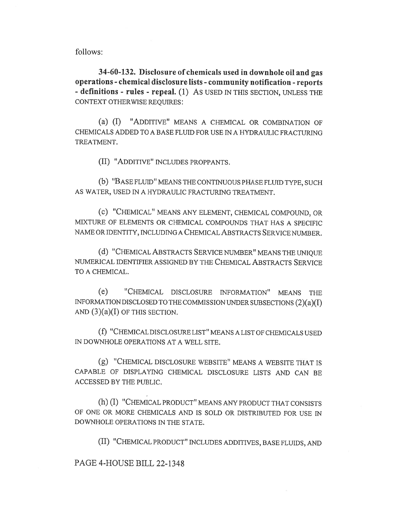follows:

34-60-132. Disclosure of chemicals used in downhole oil and gas operations - chemical disclosure lists - community notification - reports - definitions - rules - repeal. (1) AS USED IN THIS SECTION, UNLESS THE CONTEXT OTHERWISE REQUIRES:

(a) (I) "ADDITIVE" MEANS A CHEMICAL OR COMBINATION OF CHEMICALS ADDED TO A BASE FLUID FOR USE IN A HYDRAULIC FRACTURING TREATMENT.

(II) "ADDITIVE" INCLUDES PROPPANTS.

(b) "BASE FLUID" MEANS THE CONTINUOUS PHASE FLUID TYPE, SUCH AS WATER, USED IN A HYDRAULIC FRACTURING TREATMENT.

(c) "CHEMICAL" MEANS ANY ELEMENT, CHEMICAL COMPOUND, OR MIXTURE OF ELEMENTS OR CHEMICAL COMPOUNDS THAT HAS A SPECIFIC NAME OR IDENTITY, INCLUDING A CHEMICAL ABSTRACTS SERVICE NUMBER.

(d) "CHEMICAL ABSTRACTS SERVICE NUMBER" MEANS THE UNIQUE NUMERICAL IDENTIFIER ASSIGNED BY THE CHEMICAL ABSTRACTS SERVICE TO A CHEMICAL.

(e) "CHEMICAL DISCLOSURE INFORMATION" MEANS THE INFORMATION DISCLOSED TO THE COMMISSION UNDER SUBSECTIONS (2)(a)(I) AND  $(3)(a)(I)$  OF THIS SECTION.

(f) "CHEMICAL DISCLOSURE LIST" MEANS A LIST OF CHEMICALS USED IN DOWNHOLE OPERATIONS AT A WELL SITE.

(g) "CHEMICAL DISCLOSURE WEBSITE" MEANS A WEBSITE THAT IS CAPABLE OF DISPLAYING CHEMICAL DISCLOSURE LISTS AND CAN BE ACCESSED BY THE PUBLIC.

(h) (I) "CHEMICAL PRODUCT" MEANS ANY PRODUCT THAT CONSISTS OF ONE OR MORE CHEMICALS AND IS SOLD OR DISTRIBUTED FOR USE IN DOWNHOLE OPERATIONS IN THE STATE.

(II) "CHEMICAL PRODUCT" INCLUDES ADDITIVES, BASE FLUIDS, AND

PAGE 4-HOUSE BILL 22-1348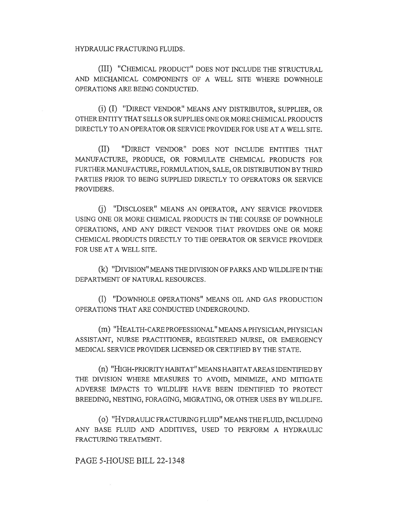HYDRAULIC FRACTURING FLUIDS.

(III) "CHEMICAL PRODUCT" DOES NOT INCLUDE THE STRUCTURAL AND MECHANICAL COMPONENTS OF A WELL SITE WHERE DOWNHOLE OPERATIONS ARE BEING CONDUCTED.

(i) (I) "DIRECT VENDOR" MEANS ANY DISTRIBUTOR, SUPPLIER, OR OTHER ENTITY THAT SELLS OR SUPPLIES ONE OR MORE CHEMICAL PRODUCTS DIRECTLY TO AN OPERATOR OR SERVICE PROVIDER FOR USE AT A WELL SITE.

(II) "DIRECT VENDOR" DOES NOT INCLUDE ENTITIES THAT MANUFACTURE, PRODUCE, OR FORMULATE CHEMICAL PRODUCTS FOR FURTHER MANUFACTURE, FORMULATION, SALE, OR DISTRIBUTION BY THIRD PARTIES PRIOR TO BEING SUPPLIED DIRECTLY TO OPERATORS OR SERVICE PROVIDERS.

(j) "DISCLOSER" MEANS AN OPERATOR, ANY SERVICE PROVIDER USING ONE OR MORE CHEMICAL PRODUCTS IN THE COURSE OF DOWNHOLE OPERATIONS, AND ANY DIRECT VENDOR THAT PROVIDES ONE OR MORE CHEMICAL PRODUCTS DIRECTLY TO THE OPERATOR OR SERVICE PROVIDER FOR USE AT A WELL SITE.

(k) "DIVISION" MEANS THE DIVISION OF PARKS AND WILDLIFE IN THE DEPARTMENT OF NATURAL RESOURCES.

(1) "DOWNHOLE OPERATIONS" MEANS OIL AND GAS PRODUCTION OPERATIONS THAT ARE CONDUCTED UNDERGROUND.

(m) "HEALTH-CARE PROFESSIONAL" MEANS A PHYSICIAN, PHYSICIAN ASSISTANT, NURSE PRACTITIONER, REGISTERED NURSE, OR EMERGENCY MEDICAL SERVICE PROVIDER LICENSED OR CERTIFIED BY THE STATE.

(n) "HIGH-PRIORITY HABITAT" MEANS HABITAT AREAS IDENTIFIED BY THE DIVISION WHERE MEASURES TO AVOID, MINIMIZE, AND MITIGATE ADVERSE IMPACTS TO WILDLIFE HAVE BEEN IDENTIFIED TO PROTECT BREEDING, NESTING, FORAGING, MIGRATING, OR OTHER USES BY WILDLIFE.

(o) "HYDRAULIC FRACTURING FLUID" MEANS THE FLUID, INCLUDING ANY BASE FLUID AND ADDITIVES, USED TO PERFORM A HYDRAULIC FRACTURING TREATMENT.

### PAGE 5-HOUSE BILL 22-1348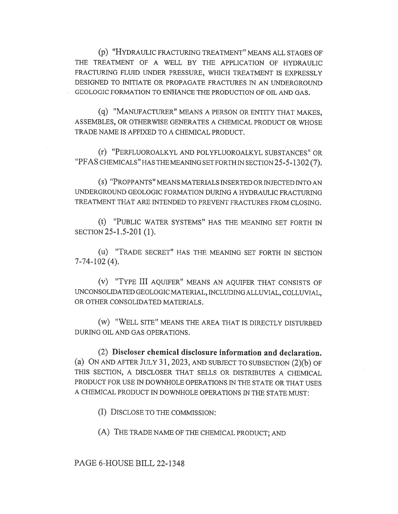(p) "HYDRAULIC FRACTURING TREATMENT" MEANS ALL STAGES OF THE TREATMENT OF A WELL BY THE APPLICATION OF HYDRAULIC FRACTURING FLUID UNDER PRESSURE, WHICH TREATMENT IS EXPRESSLY DESIGNED TO INITIATE OR PROPAGATE FRACTURES IN AN UNDERGROUND GEOLOGIC FORMATION TO ENHANCE THE PRODUCTION OF OIL AND GAS.

(q) "MANUFACTURER" MEANS A PERSON OR ENTITY THAT MAKES, ASSEMBLES, OR OTHERWISE GENERATES A CHEMICAL PRODUCT OR WHOSE TRADE NAME IS AFFIXED TO A CHEMICAL PRODUCT.

(r) "PERFLUOROALKYL AND POLYFLUOROALKYL SUBSTANCES" OR "PFAS CHEMICALS" HAS THE MEANING SET FORTH IN SECTION 25-5-1302 (7).

(s) "PROPPANTS" MEANS MATERIALS INSERTED OR INJECTED INTO AN UNDERGROUND GEOLOGIC FORMATION DURING A HYDRAULIC FRACTURING TREATMENT THAT ARE INTENDED TO PREVENT FRACTURES FROM CLOSING.

(t) "PUBLIC WATER SYSTEMS" HAS THE MEANING SET FORTH IN SECTION 25-1.5-201 (1).

(u) "TRADE SECRET" HAS THE MEANING SET FORTH IN SECTION 7-74-102 (4).

(v) "TYPE III AQUIFER" MEANS AN AQUIFER THAT CONSISTS OF UNCONSOLIDATED GEOLOGIC MATERIAL, INCLUDING ALLUVIAL, COLLUVIAL, OR OTHER CONSOLIDATED MATERIALS.

(w) "WELL SITE" MEANS THE AREA THAT IS DIRECTLY DISTURBED DURING OIL AND GAS OPERATIONS.

(2) Discloser chemical disclosure information and declaration. (a) ON AND AFTER JULY 31, 2023, AND SUBJECT TO SUBSECTION (2)(b) OF THIS SECTION, A DISCLOSER THAT SELLS OR DISTRIBUTES A CHEMICAL PRODUCT FOR USE IN DOWNHOLE OPERATIONS IN THE STATE OR THAT USES A CHEMICAL PRODUCT IN DOWNHOLE OPERATIONS IN THE STATE MUST:

(I) DISCLOSE TO THE COMMISSION:

(A) THE TRADE NAME OF THE CHEMICAL PRODUCT; AND

PAGE 6-HOUSE BILL 22-1348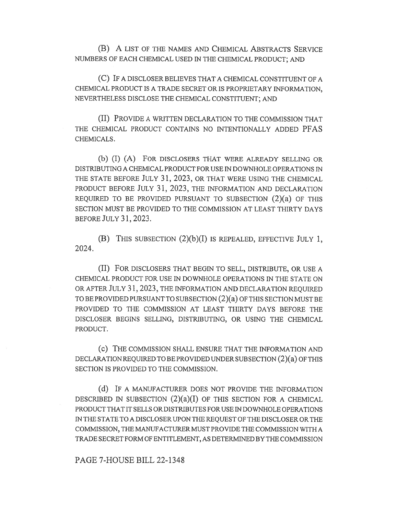(B) A LIST OF THE NAMES AND CHEMICAL ABSTRACTS SERVICE NUMBERS OF EACH CHEMICAL USED IN THE CHEMICAL PRODUCT; AND

(C) IF A DISCLOSER BELIEVES THAT A CHEMICAL CONSTITUENT OF A CHEMICAL PRODUCT IS A TRADE SECRET OR IS PROPRIETARY INFORMATION, NEVERTHELESS DISCLOSE THE CHEMICAL CONSTITUENT; AND

(II) PROVIDE A WRITTEN DECLARATION TO THE COMMISSION THAT THE CHEMICAL PRODUCT CONTAINS NO INTENTIONALLY ADDED PFAS CHEMICALS.

(b) (I) (A) FOR DISCLOSERS THAT WERE ALREADY SELLING OR DISTRIBUTING A CHEMICAL PRODUCT FOR USE IN DOWNHOLE OPERATIONS IN THE STATE BEFORE JULY 31, 2023, OR THAT WERE USING THE CHEMICAL PRODUCT BEFORE JULY 31, 2023, THE INFORMATION AND DECLARATION REQUIRED TO BE PROVIDED PURSUANT TO SUBSECTION (2)(a) OF THIS SECTION MUST BE PROVIDED TO THE COMMISSION AT LEAST THIRTY DAYS BEFORE JULY 31, 2023.

(B) THIS SUBSECTION  $(2)(b)(I)$  IS REPEALED, EFFECTIVE JULY 1, 2024.

(II) FOR DISCLOSERS THAT BEGIN TO SELL, DISTRIBUTE, OR USE A CHEMICAL PRODUCT FOR USE IN DOWNHOLE OPERATIONS IN THE STATE ON OR AFTER JULY 31, 2023, THE INFORMATION AND DECLARATION REQUIRED TO BE PROVIDED PURSUANT TO SUBSECTION (2)(a) OF THIS SECTION MUST BE PROVIDED TO THE COMMISSION AT LEAST THIRTY DAYS BEFORE THE DISCLOSER BEGINS SELLING, DISTRIBUTING, OR USING THE CHEMICAL PRODUCT.

(C) THE COMMISSION SHALL ENSURE THAT THE INFORMATION AND DECLARATION REQUIRED TO BE PROVIDED UNDER SUBSECTION (2)(a) OF THIS SECTION IS PROVIDED TO THE COMMISSION.

(d) IF A MANUFACTURER DOES NOT PROVIDE THE INFORMATION DESCRIBED IN SUBSECTION  $(2)(a)(I)$  OF THIS SECTION FOR A CHEMICAL PRODUCT THAT IT SELLS OR DISTRIBUTES FOR USE IN DOWNHOLE OPERATIONS IN THE STATE TO A DISCLOSER UPON THE REQUEST OF THE DISCLOSER OR THE COMMISSION, THE MANUFACTURER MUST PROVIDE THE COMMISSION WITH A TRADE SECRET FORM OF ENTITLEMENT, AS DETERMINED BY THE COMMISSION

### PAGE 7-HOUSE BILL 22-1348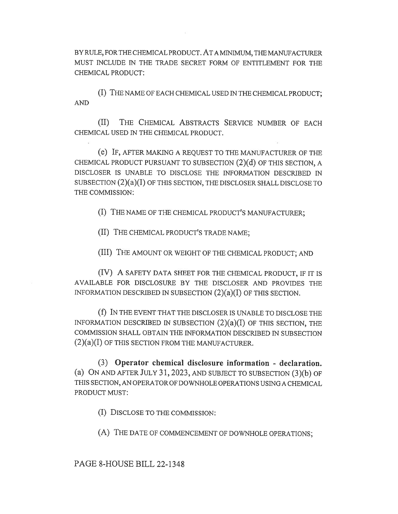BY RULE, FOR THE CHEMICAL PRODUCT. AT A MINIMUM, THE MANUFACTURER MUST INCLUDE IN THE TRADE SECRET FORM OF ENTITLEMENT FOR THE CHEMICAL PRODUCT:

(I) THE NAME OF EACH CHEMICAL USED IN THE CHEMICAL PRODUCT; AND

(II) THE CHEMICAL ABSTRACTS SERVICE NUMBER OF EACH CHEMICAL USED IN THE CHEMICAL PRODUCT.

(e) IF, AFTER MAKING A REQUEST TO THE MANUFACTURER OF THE CHEMICAL PRODUCT PURSUANT TO SUBSECTION (2)(d) OF THIS SECTION, A DISCLOSER IS UNABLE TO DISCLOSE THE INFORMATION DESCRIBED IN SUBSECTION (2)(a)(I) OF THIS SECTION, THE DISCLOSER SHALL DISCLOSE TO THE COMMISSION:

(I) THE NAME OF THE CHEMICAL PRODUCT'S MANUFACTURER;

(II) THE CHEMICAL PRODUCT'S TRADE NAME;

(III) THE AMOUNT OR WEIGHT OF THE CHEMICAL PRODUCT; AND

(IV) A SAFETY DATA SHEET FOR THE CHEMICAL PRODUCT, IF IT IS AVAILABLE FOR DISCLOSURE BY THE DISCLOSER AND PROVIDES THE INFORMATION DESCRIBED IN SUBSECTION (2)(a)(I) OF THIS SECTION.

(f) IN THE EVENT THAT THE DISCLOSER IS UNABLE TO DISCLOSE THE INFORMATION DESCRIBED IN SUBSECTION  $(2)(a)(I)$  OF THIS SECTION, THE COMMISSION SHALL OBTAIN THE INFORMATION DESCRIBED IN SUBSECTION (2)(a)(I) OF THIS SECTION FROM THE MANUFACTURER.

(3) Operator chemical disclosure information - declaration. (a) ON AND AFTER JULY 31, 2023, AND SUBJECT TO SUBSECTION (3)(b) OF THIS SECTION, AN OPERATOR OF DOWNHOLE OPERATIONS USING A CHEMICAL PRODUCT MUST:

(I) DISCLOSE TO THE COMMISSION:

(A) THE DATE OF COMMENCEMENT OF DOWNHOLE OPERATIONS;

PAGE 8-HOUSE BILL 22-1348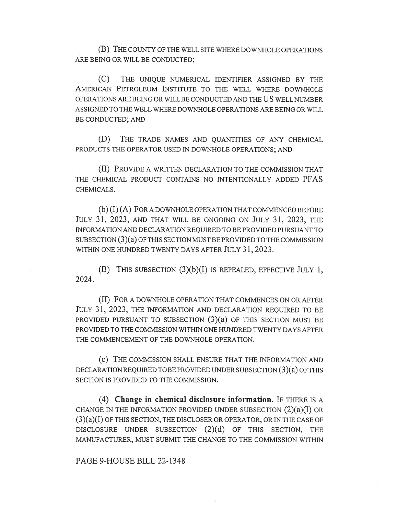(B) THE COUNTY OF THE WELL SITE WHERE DOWNHOLE OPERATIONS ARE BEING OR WILL BE CONDUCTED;

(C) THE UNIQUE NUMERICAL IDENTIFIER ASSIGNED BY THE AMERICAN PETROLEUM INSTITUTE TO THE WELL WHERE DOWNHOLE OPERATIONS ARE BEING OR WILL BE CONDUCTED AND THE US WELL NUMBER ASSIGNED TO THE WELL WHERE DOWNHOLE OPERATIONS ARE BEING OR WILL BE CONDUCTED; AND

(D) THE TRADE NAMES AND QUANTITIES OF ANY CHEMICAL PRODUCTS THE OPERATOR USED IN DOWNHOLE OPERATIONS; AND

(II) PROVIDE A WRITTEN DECLARATION TO THE COMMISSION THAT THE CHEMICAL PRODUCT CONTAINS NO INTENTIONALLY ADDED PFAS CHEMICALS.

(b) (I) (A) FOR A DOWNHOLE OPERATION THAT COMMENCED BEFORE JULY 31, 2023, AND THAT WILL BE ONGOING ON JULY 31, 2023, THE INFORMATION AND DECLARATION REQUIRED TO BE PROVIDED PURSUANT TO SUBSECTION (3)(a) OF THIS SECTION MUST BE PROVIDED TO THE COMMISSION WITHIN ONE HUNDRED TWENTY DAYS AFTER JULY 31, 2023.

(B) THIS SUBSECTION  $(3)(b)(I)$  IS REPEALED, EFFECTIVE JULY 1, 2024.

(II) FOR A DOWNHOLE OPERATION THAT COMMENCES ON OR AFTER JULY 31, 2023, THE INFORMATION AND DECLARATION REQUIRED TO BE PROVIDED PURSUANT TO SUBSECTION (3)(a) OF THIS SECTION MUST BE PROVIDED TO THE COMMISSION WITHIN ONE HUNDRED TWENTY DAYS AFTER THE COMMENCEMENT OF THE DOWNHOLE OPERATION.

(C) THE COMMISSION SHALL ENSURE THAT THE INFORMATION AND DECLARATION REQUIRED TO BE PROVIDED UNDER SUBSECTION (3)(a) OF THIS SECTION IS PROVIDED TO THE COMMISSION.

(4) Change in chemical disclosure information. IF THERE IS A CHANGE IN THE INFORMATION PROVIDED UNDER SUBSECTION  $(2)(a)(I)$  OR  $(3)(a)(I)$  OF THIS SECTION, THE DISCLOSER OR OPERATOR, OR IN THE CASE OF DISCLOSURE UNDER SUBSECTION (2)(d) OF THIS SECTION, THE MANUFACTURER, MUST SUBMIT THE CHANGE TO THE COMMISSION WITHIN

### PAGE 9-HOUSE BILL 22-1348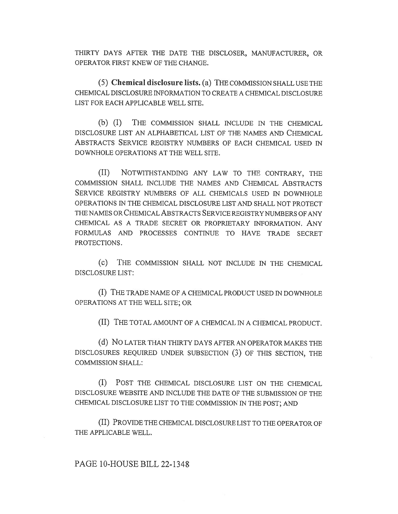THIRTY DAYS AFTER THE DATE THE DISCLOSER, MANUFACTURER, OR OPERATOR FIRST KNEW OF THE CHANGE.

(5) Chemical disclosure lists. (a) THE COMMISSION SHALL USE THE CHEMICAL DISCLOSURE INFORMATION TO CREATE A CHEMICAL DISCLOSURE LIST FOR EACH APPLICABLE WELL SITE.

(b) (I) THE COMMISSION SHALL INCLUDE IN THE CHEMICAL DISCLOSURE LIST AN ALPHABETICAL LIST OF THE NAMES AND CHEMICAL ABSTRACTS SERVICE REGISTRY NUMBERS OF EACH CHEMICAL USED IN DOWNHOLE OPERATIONS AT THE WELL SITE.

(II) NOTWITHSTANDING ANY LAW TO THE CONTRARY, THE COMMISSION SHALL INCLUDE THE NAMES AND CHEMICAL ABSTRACTS SERVICE REGISTRY NUMBERS OF ALL CHEMICALS USED IN DOWNHOLE OPERATIONS IN THE CHEMICAL DISCLOSURE LIST AND SHALL NOT PROTECT THE NAMES OR CHEMICAL ABSTRACTS SERVICE REGISTRY NUMBERS OF ANY CHEMICAL AS A TRADE SECRET OR PROPRIETARY INFORMATION. ANY FORMULAS AND PROCESSES CONTINUE TO HAVE TRADE SECRET PROTECTIONS.

(c) THE COMMISSION SHALL NOT INCLUDE IN THE CHEMICAL DISCLOSURE LIST:

(I) THE TRADE NAME OF A CHEMICAL PRODUCT USED IN DOWNHOLE OPERATIONS AT THE WELL SITE; OR

(II) THE TOTAL AMOUNT OF A CHEMICAL IN A CHEMICAL PRODUCT.

(d) No LATER THAN THIRTY DAYS AFTER AN OPERATOR MAKES THE DISCLOSURES REQUIRED UNDER SUBSECTION (3) OF THIS SECTION, THE COMMISSION SHALL:

(I) POST THE CHEMICAL DISCLOSURE LIST ON THE CHEMICAL DISCLOSURE WEBSITE AND INCLUDE THE DATE OF THE SUBMISSION OF THE CHEMICAL DISCLOSURE LIST TO THE COMMISSION IN THE POST; AND

(II) PROVIDE THE CHEMICAL DISCLOSURE LIST TO THE OPERATOR OF THE APPLICABLE WELL.

## PAGE 10-HOUSE BILL 22-1348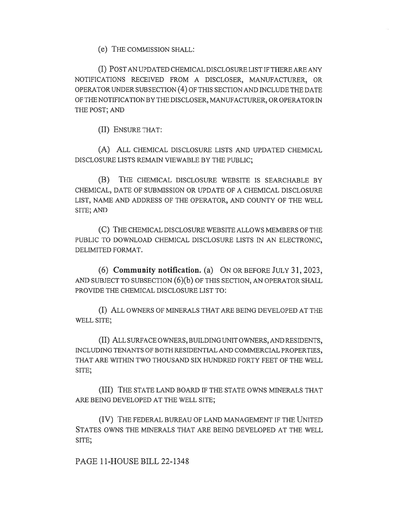(e) THE COMMISSION SHALL:

(I) POST AN UPDATED CHEMICAL DISCLOSURE LIST IF THERE ARE ANY NOTIFICATIONS RECEIVED FROM A DISCLOSER, MANUFACTURER, OR OPERATOR UNDER SUBSECTION (4) OF THIS SECTION AND INCLUDE THE DATE OF THE NOTIFICATION BY THE DISCLOSER, MANUFACTURER, OR OPERATOR IN THE POST; AND

(II) ENSURE THAT:

(A) ALL CHEMICAL DISCLOSURE LISTS AND UPDATED CHEMICAL DISCLOSURE LISTS REMAIN VIEWABLE BY THE PUBLIC;

(B) THE CHEMICAL DISCLOSURE WEBSITE IS SEARCHABLE BY CHEMICAL, DATE OF SUBMISSION OR UPDATE OF A CHEMICAL DISCLOSURE LIST, NAME AND ADDRESS OF THE OPERATOR, AND COUNTY OF THE WELL SITE; AND

(C) THE CHEMICAL DISCLOSURE WEBSITE ALLOWS MEMBERS OF THE PUBLIC TO DOWNLOAD CHEMICAL DISCLOSURE LISTS IN AN ELECTRONIC, DELIMITED FORMAT.

(6) Community notification. (a) ON OR BEFORE JULY 31, 2023, AND SUBJECT TO SUBSECTION (6)(b) OF THIS SECTION, AN OPERATOR SHALL PROVIDE THE CHEMICAL DISCLOSURE LIST TO:

(I) ALL OWNERS OF MINERALS THAT ARE BEING DEVELOPED AT THE WELL SITE;

(II) ALL SURFACE OWNERS, BUILDING UNIT OWNERS, AND RESIDENTS, INCLUDING TENANTS OF BOTH RESIDENTIAL AND COMMERCIAL PROPERTIES, THAT ARE WITHIN TWO THOUSAND SIX HUNDRED FORTY FEET OF THE WELL SITE;

(III) THE STATE LAND BOARD IF THE STATE OWNS MINERALS THAT ARE BEING DEVELOPED AT THE WELL SITE;

(IV) THE FEDERAL BUREAU OF LAND MANAGEMENT IF THE UNITED STATES OWNS THE MINERALS THAT ARE BEING DEVELOPED AT THE WELL SITE;

PAGE 11-HOUSE BILL 22-1348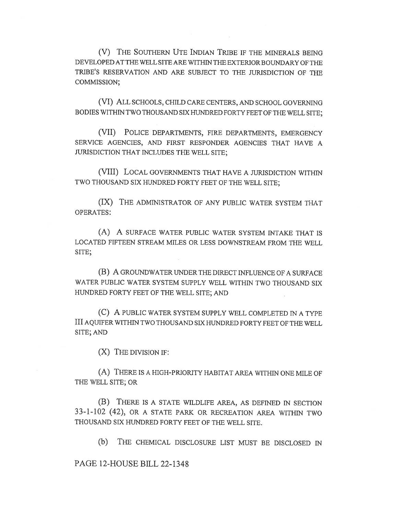(V) THE SOUTHERN UTE INDIAN TRIBE IF THE MINERALS BEING DEVELOPED AT THE WELL SITE ARE WITHIN THE EXTERIOR BOUNDARY OF THE TRIBE'S RESERVATION AND ARE SUBJECT TO THE JURISDICTION OF THE COMMISSION;

(VI) ALL SCHOOLS, CHILD CARE CENTERS, AND SCHOOL GOVERNING BODIES WITHIN TWO THOUSAND SIX HUNDRED FORTY FEET OF THE WELL SITE;

(VII) POLICE DEPARTMENTS, FIRE DEPARTMENTS, EMERGENCY SERVICE AGENCIES, AND FIRST RESPONDER AGENCIES THAT HAVE A JURISDICTION THAT INCLUDES THE WELL SITE;

(VIII) LOCAL GOVERNMENTS THAT HAVE A JURISDICTION WITHIN TWO THOUSAND SIX HUNDRED FORTY FEET OF THE WELL SITE;

(IX) THE ADMINISTRATOR OF ANY PUBLIC WATER SYSTEM THAT OPERATES:

(A) A SURFACE WATER PUBLIC WATER SYSTEM INTAKE THAT IS LOCATED FIFTEEN STREAM MILES OR LESS DOWNSTREAM FROM THE WELL SITE;

(B) A GROUNDWATER UNDER THE DIRECT INFLUENCE OF A SURFACE WATER PUBLIC WATER SYSTEM SUPPLY WELL WITHIN TWO THOUSAND SIX HUNDRED FORTY FEET OF THE WELL SITE; AND

(C) A PUBLIC WATER SYSTEM SUPPLY WELL COMPLETED IN A TYPE III AQUIFER WITHIN TWO THOUSAND SIX HUNDRED FORTY FEET OF THE WELL SITE; AND

(X) THE DIVISION IF:

(A) THERE IS A HIGH-PRIORITY HABITAT AREA WITHIN ONE MILE OF THE WELL SITE; OR

(B) THERE IS A STATE WILDLIFE AREA, AS DEFINED IN SECTION 33-1-102 (42), OR A STATE PARK OR RECREATION AREA WITHIN TWO THOUSAND SIX HUNDRED FORTY FEET OF THE WELL SITE.

(b) THE CHEMICAL DISCLOSURE LIST MUST BE DISCLOSED IN

PAGE 12-HOUSE BILL 22-1348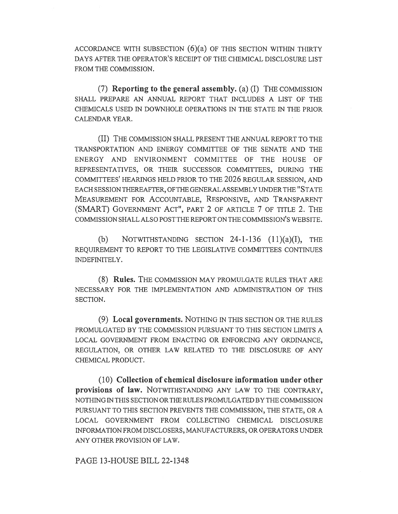ACCORDANCE WITH SUBSECTION  $(6)(a)$  OF THIS SECTION WITHIN THIRTY DAYS AFTER THE OPERATOR'S RECEIPT OF THE CHEMICAL DISCLOSURE LIST FROM THE COMMISSION.

(7) Reporting to the general assembly. (a) (I) THE COMMISSION SHALL PREPARE AN ANNUAL REPORT THAT INCLUDES A LIST OF THE CHEMICALS USED IN DOWNHOLE OPERATIONS IN THE STATE IN THE PRIOR CALENDAR YEAR.

(II) THE COMMISSION SHALL PRESENT THE ANNUAL REPORT TO THE TRANSPORTATION AND ENERGY COMMITTEE OF THE SENATE AND THE ENERGY AND ENVIRONMENT COMMITTEE OF THE HOUSE OF REPRESENTATIVES, OR THEIR SUCCESSOR COMMITTEES, DURING THE COMMITTEES' HEARINGS HELD PRIOR TO THE 2026 REGULAR SESSION, AND EACH SESSION THEREAFTER, OF THE GENERAL ASSEMBLY UNDER THE "STATE MEASUREMENT FOR ACCOUNTABLE, RESPONSIVE, AND TRANSPARENT (SMART) GOVERNMENT ACT", PART 2 OF ARTICLE 7 OF TITLE 2. THE COMMISSION SHALL ALSO POST THE REPORT ON THE COMMISSION'S WEB SITE.

(b) NOTWITHSTANDING SECTION  $24$ -1-136  $(11)(a)(I)$ , THE REQUIREMENT TO REPORT TO THE LEGISLATIVE COMMITTEES CONTINUES INDEFINITELY.

(8) Rules. THE COMMISSION MAY PROMULGATE RULES THAT ARE NECESSARY FOR THE IMPLEMENTATION AND ADMINISTRATION OF THIS SECTION.

(9) Local governments. NOTHING IN THIS SECTION OR THE RULES PROMULGATED BY THE COMMISSION PURSUANT TO THIS SECTION LIMITS A LOCAL GOVERNMENT FROM ENACTING OR ENFORCING ANY ORDINANCE, REGULATION, OR OTHER LAW RELATED TO THE DISCLOSURE OF ANY CHEMICAL PRODUCT.

(10) Collection of chemical disclosure information under other provisions of law. NOTWITHSTANDING ANY LAW TO THE CONTRARY, NOTHING IN THIS SECTION OR THE RULES PROMULGATED BY THE COMMISSION PURSUANT TO THIS SECTION PREVENTS THE COMMISSION, THE STATE, OR A LOCAL GOVERNMENT FROM COLLECTING CHEMICAL DISCLOSURE INFORMATION FROM DISCLOSERS, MANUFACTURERS, OR OPERATORS UNDER ANY OTHER PROVISION OF LAW.

PAGE 13-HOUSE BILL 22-1348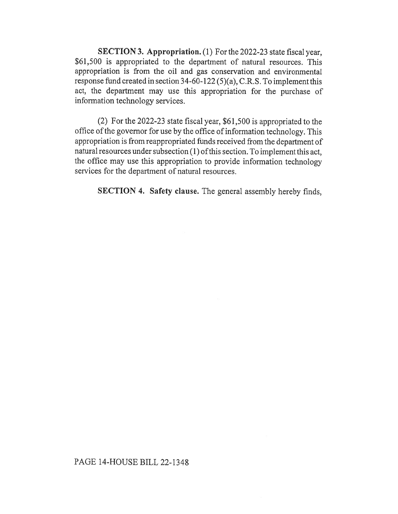SECTION 3. Appropriation. (1) For the 2022-23 state fiscal year, \$61,500 is appropriated to the department of natural resources. This appropriation is from the oil and gas conservation and environmental response fund created in section 34-60-122 (5)(a), C.R.S. To implement this act, the department may use this appropriation for the purchase of information technology services.

(2) For the 2022-23 state fiscal year, \$61,500 is appropriated to the office of the governor for use by the office of information technology. This appropriation is from reappropriated funds received from the department of natural resources under subsection (1) of this section. To implement this act, the office may use this appropriation to provide information technology services for the department of natural resources.

SECTION 4. Safety clause. The general assembly hereby finds,